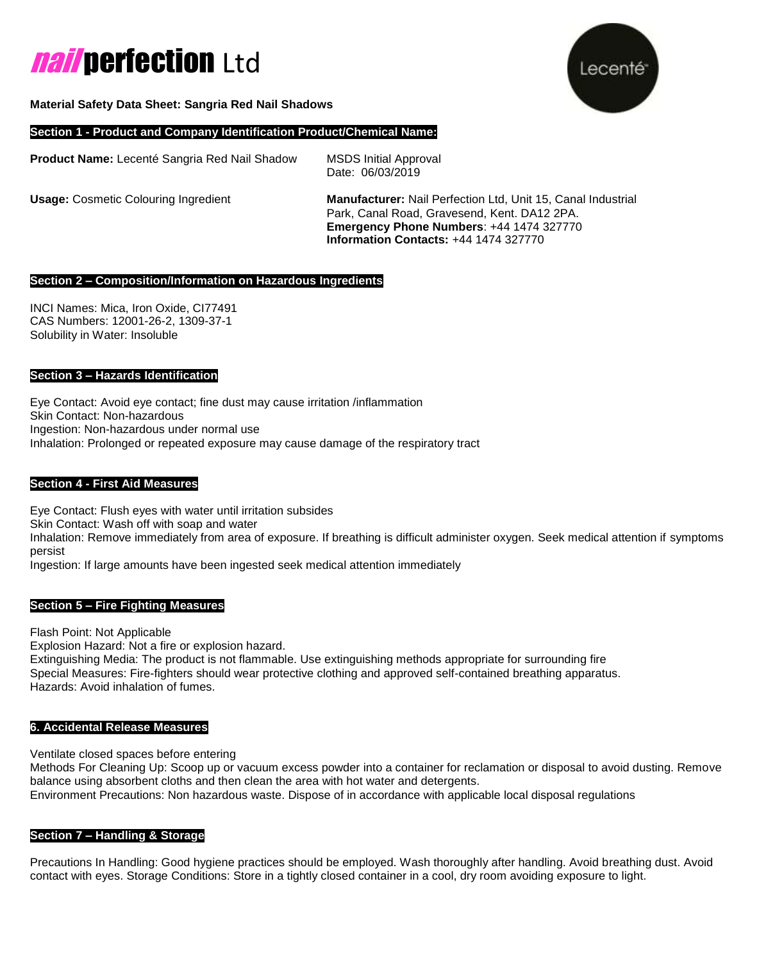# **nail perfection** Ltd



#### **Material Safety Data Sheet: Sangria Red Nail Shadows**

#### **Section 1 - Product and Company Identification Product/Chemical Name:**

**Product Name:** Lecenté Sangria Red Nail Shadow MSDS Initial Approval Date: 06/03/2019

**Usage:** Cosmetic Colouring Ingredient **Manufacturer:** Nail Perfection Ltd, Unit 15, Canal Industrial Park, Canal Road, Gravesend, Kent. DA12 2PA. **Emergency Phone Numbers**: +44 1474 327770 **Information Contacts:** +44 1474 327770

#### **Section 2 – Composition/Information on Hazardous Ingredients**

INCI Names: Mica, Iron Oxide, CI77491 CAS Numbers: 12001-26-2, 1309-37-1 Solubility in Water: Insoluble

#### **Section 3 – Hazards Identification**

Eye Contact: Avoid eye contact; fine dust may cause irritation /inflammation Skin Contact: Non-hazardous Ingestion: Non-hazardous under normal use Inhalation: Prolonged or repeated exposure may cause damage of the respiratory tract

#### **Section 4 - First Aid Measures**

Eye Contact: Flush eyes with water until irritation subsides Skin Contact: Wash off with soap and water Inhalation: Remove immediately from area of exposure. If breathing is difficult administer oxygen. Seek medical attention if symptoms persist

Ingestion: If large amounts have been ingested seek medical attention immediately

#### **Section 5 – Fire Fighting Measures**

Flash Point: Not Applicable Explosion Hazard: Not a fire or explosion hazard.

Extinguishing Media: The product is not flammable. Use extinguishing methods appropriate for surrounding fire Special Measures: Fire-fighters should wear protective clothing and approved self-contained breathing apparatus. Hazards: Avoid inhalation of fumes.

#### **6. Accidental Release Measures**

Ventilate closed spaces before entering

Methods For Cleaning Up: Scoop up or vacuum excess powder into a container for reclamation or disposal to avoid dusting. Remove balance using absorbent cloths and then clean the area with hot water and detergents. Environment Precautions: Non hazardous waste. Dispose of in accordance with applicable local disposal regulations

#### **Section 7 – Handling & Storage**

Precautions In Handling: Good hygiene practices should be employed. Wash thoroughly after handling. Avoid breathing dust. Avoid contact with eyes. Storage Conditions: Store in a tightly closed container in a cool, dry room avoiding exposure to light.